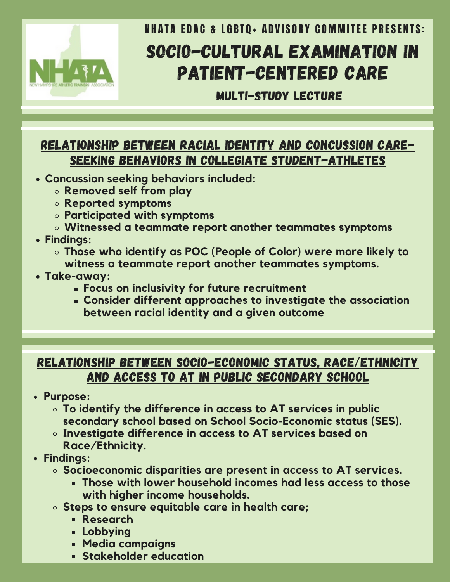

## SOCIO-CULTURAL EXAMINATION IN PATIENT-CENTERED CARE **NHATA EDAC & LGBTO+ ADVISORY COMMITEE PRESENTS:**

MULTI-STUDY LECTURE

#### RELATIONSHIP BETWEEN RACIAL IDENTITY AND CONCUSSION CARE-SEEKING BEHAVIORS IN COLLEGIATE STUDENT-ATHLETES

- **Concussion seeking behaviors included:**
	- **Removed self from play**
	- **Reported symptoms**
	- **Participated with symptoms**
	- **Witnessed a teammate report another teammates symptoms**
- **Findings:**
	- **Those who identify as POC (People of Color) were more likely to witness a teammate report another teammates symptoms.**
- **Take-away:**
	- **Focus on inclusivity for future recruitment**
	- **Consider different approaches to investigate the association between racial identity and a given outcome**

#### RELATIONSHIP BETWEEN SOCIO-ECONOMIC STATUS, RACE/ETHNICITY AND ACCESS TO AT IN PUBLIC SECONDARY SCHOOL

- **Purpose:**
	- **To identify the difference in access to AT services in public secondary school based on School Socio-Economic status (SES).**
	- **Investigate difference in access to AT services based on Race/Ethnicity.**
- **Findings:**
	- **Socioeconomic disparities are present in access to AT services.**
		- **Those with lower household incomes had less access to those with higher income households.**
	- **Steps to ensure equitable care in health care;**
		- **Research**
		- **Lobbying**
		- **Media campaigns**
		- **Stakeholder education**